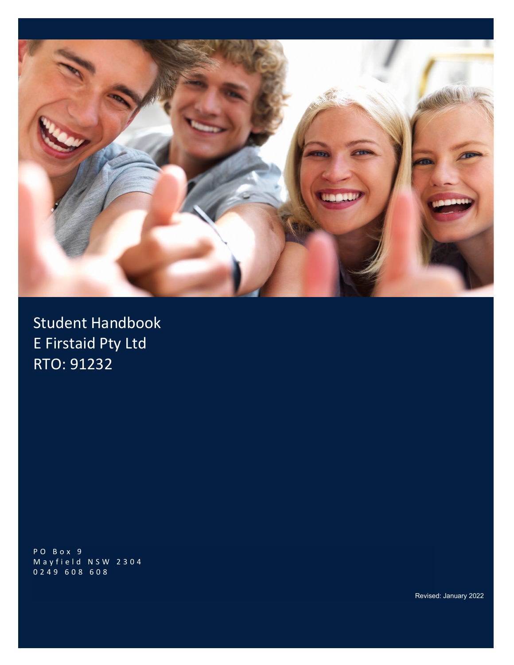

Student Handbook E Firstaid Pty Ltd RTO: 91232

PO Box 9 Mayfield NSW 2304 0 249 608 608

Revised: January 2022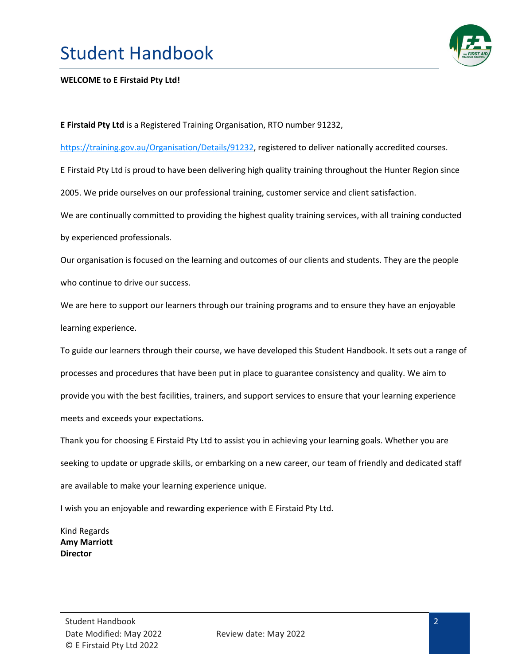

#### **WELCOME to E Firstaid Pty Ltd!**

**E Firstaid Pty Ltd** is a Registered Training Organisation, RTO number 91232,

[https://training.gov.au/Organisation/Details/91232,](https://training.gov.au/Organisation/Details/91232) registered to deliver nationally accredited courses.

E Firstaid Pty Ltd is proud to have been delivering high quality training throughout the Hunter Region since

2005. We pride ourselves on our professional training, customer service and client satisfaction.

We are continually committed to providing the highest quality training services, with all training conducted by experienced professionals.

Our organisation is focused on the learning and outcomes of our clients and students. They are the people who continue to drive our success.

We are here to support our learners through our training programs and to ensure they have an enjoyable learning experience.

To guide our learners through their course, we have developed this Student Handbook. It sets out a range of processes and procedures that have been put in place to guarantee consistency and quality. We aim to provide you with the best facilities, trainers, and support services to ensure that your learning experience meets and exceeds your expectations.

Thank you for choosing E Firstaid Pty Ltd to assist you in achieving your learning goals. Whether you are seeking to update or upgrade skills, or embarking on a new career, our team of friendly and dedicated staff are available to make your learning experience unique.

I wish you an enjoyable and rewarding experience with E Firstaid Pty Ltd.

Kind Regards **Amy Marriott Director**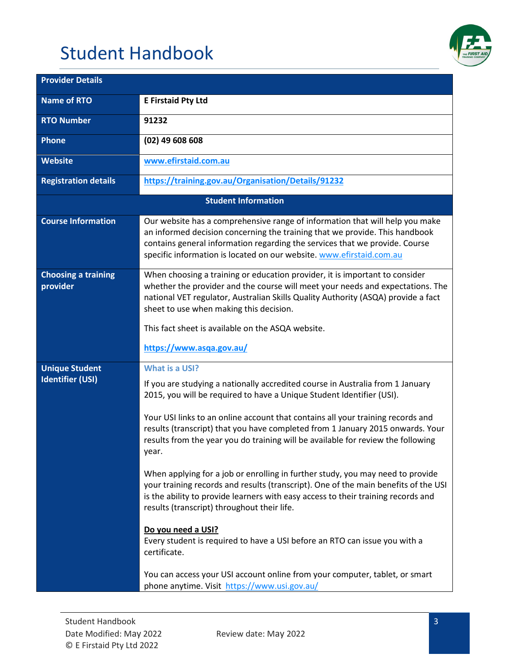

| <b>Provider Details</b>                          |                                                                                                                                                                                                                                                                                                                                                                                                                                                                                                                                                                                                                                                                                                                                                                                                                                                                                                                                                                                                             |
|--------------------------------------------------|-------------------------------------------------------------------------------------------------------------------------------------------------------------------------------------------------------------------------------------------------------------------------------------------------------------------------------------------------------------------------------------------------------------------------------------------------------------------------------------------------------------------------------------------------------------------------------------------------------------------------------------------------------------------------------------------------------------------------------------------------------------------------------------------------------------------------------------------------------------------------------------------------------------------------------------------------------------------------------------------------------------|
| <b>Name of RTO</b>                               | <b>E Firstaid Pty Ltd</b>                                                                                                                                                                                                                                                                                                                                                                                                                                                                                                                                                                                                                                                                                                                                                                                                                                                                                                                                                                                   |
| <b>RTO Number</b>                                | 91232                                                                                                                                                                                                                                                                                                                                                                                                                                                                                                                                                                                                                                                                                                                                                                                                                                                                                                                                                                                                       |
| <b>Phone</b>                                     | $(02)$ 49 608 608                                                                                                                                                                                                                                                                                                                                                                                                                                                                                                                                                                                                                                                                                                                                                                                                                                                                                                                                                                                           |
| Website                                          | www.efirstaid.com.au                                                                                                                                                                                                                                                                                                                                                                                                                                                                                                                                                                                                                                                                                                                                                                                                                                                                                                                                                                                        |
| <b>Registration details</b>                      | https://training.gov.au/Organisation/Details/91232                                                                                                                                                                                                                                                                                                                                                                                                                                                                                                                                                                                                                                                                                                                                                                                                                                                                                                                                                          |
|                                                  | <b>Student Information</b>                                                                                                                                                                                                                                                                                                                                                                                                                                                                                                                                                                                                                                                                                                                                                                                                                                                                                                                                                                                  |
| <b>Course Information</b>                        | Our website has a comprehensive range of information that will help you make<br>an informed decision concerning the training that we provide. This handbook<br>contains general information regarding the services that we provide. Course<br>specific information is located on our website. www.efirstaid.com.au                                                                                                                                                                                                                                                                                                                                                                                                                                                                                                                                                                                                                                                                                          |
| <b>Choosing a training</b><br>provider           | When choosing a training or education provider, it is important to consider<br>whether the provider and the course will meet your needs and expectations. The<br>national VET regulator, Australian Skills Quality Authority (ASQA) provide a fact<br>sheet to use when making this decision.<br>This fact sheet is available on the ASQA website.<br>https://www.asqa.gov.au/                                                                                                                                                                                                                                                                                                                                                                                                                                                                                                                                                                                                                              |
| <b>Unique Student</b><br><b>Identifier (USI)</b> | What is a USI?<br>If you are studying a nationally accredited course in Australia from 1 January<br>2015, you will be required to have a Unique Student Identifier (USI).<br>Your USI links to an online account that contains all your training records and<br>results (transcript) that you have completed from 1 January 2015 onwards. Your<br>results from the year you do training will be available for review the following<br>year.<br>When applying for a job or enrolling in further study, you may need to provide<br>your training records and results (transcript). One of the main benefits of the USI<br>is the ability to provide learners with easy access to their training records and<br>results (transcript) throughout their life.<br>Do you need a USI?<br>Every student is required to have a USI before an RTO can issue you with a<br>certificate.<br>You can access your USI account online from your computer, tablet, or smart<br>phone anytime. Visit https://www.usi.gov.au/ |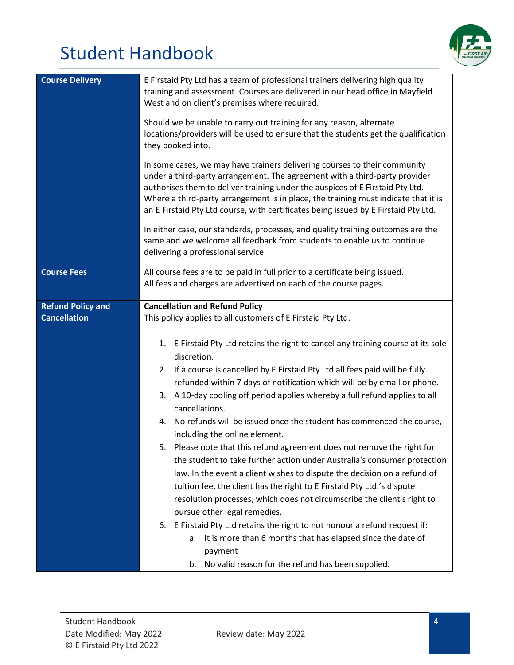

| <b>Course Delivery</b>   | E Firstaid Pty Ltd has a team of professional trainers delivering high quality<br>training and assessment. Courses are delivered in our head office in Mayfield<br>West and on client's premises where required.                                                                                                                                                                                                      |
|--------------------------|-----------------------------------------------------------------------------------------------------------------------------------------------------------------------------------------------------------------------------------------------------------------------------------------------------------------------------------------------------------------------------------------------------------------------|
|                          | Should we be unable to carry out training for any reason, alternate<br>locations/providers will be used to ensure that the students get the qualification<br>they booked into.                                                                                                                                                                                                                                        |
|                          | In some cases, we may have trainers delivering courses to their community<br>under a third-party arrangement. The agreement with a third-party provider<br>authorises them to deliver training under the auspices of E Firstaid Pty Ltd.<br>Where a third-party arrangement is in place, the training must indicate that it is<br>an E Firstaid Pty Ltd course, with certificates being issued by E Firstaid Pty Ltd. |
|                          | In either case, our standards, processes, and quality training outcomes are the<br>same and we welcome all feedback from students to enable us to continue<br>delivering a professional service.                                                                                                                                                                                                                      |
| <b>Course Fees</b>       | All course fees are to be paid in full prior to a certificate being issued.<br>All fees and charges are advertised on each of the course pages.                                                                                                                                                                                                                                                                       |
| <b>Refund Policy and</b> | <b>Cancellation and Refund Policy</b>                                                                                                                                                                                                                                                                                                                                                                                 |
| <b>Cancellation</b>      | This policy applies to all customers of E Firstaid Pty Ltd.                                                                                                                                                                                                                                                                                                                                                           |
|                          |                                                                                                                                                                                                                                                                                                                                                                                                                       |
|                          | E Firstaid Pty Ltd retains the right to cancel any training course at its sole<br>1.<br>discretion.                                                                                                                                                                                                                                                                                                                   |
|                          | 2. If a course is cancelled by E Firstaid Pty Ltd all fees paid will be fully                                                                                                                                                                                                                                                                                                                                         |
|                          | refunded within 7 days of notification which will be by email or phone.                                                                                                                                                                                                                                                                                                                                               |
|                          | 3. A 10-day cooling off period applies whereby a full refund applies to all<br>cancellations.                                                                                                                                                                                                                                                                                                                         |
|                          | 4. No refunds will be issued once the student has commenced the course,<br>including the online element.                                                                                                                                                                                                                                                                                                              |
|                          | Please note that this refund agreement does not remove the right for                                                                                                                                                                                                                                                                                                                                                  |
|                          | the student to take further action under Australia's consumer protection                                                                                                                                                                                                                                                                                                                                              |
|                          |                                                                                                                                                                                                                                                                                                                                                                                                                       |
|                          | law. In the event a client wishes to dispute the decision on a refund of                                                                                                                                                                                                                                                                                                                                              |
|                          | tuition fee, the client has the right to E Firstaid Pty Ltd.'s dispute                                                                                                                                                                                                                                                                                                                                                |
|                          | resolution processes, which does not circumscribe the client's right to                                                                                                                                                                                                                                                                                                                                               |
|                          | pursue other legal remedies.                                                                                                                                                                                                                                                                                                                                                                                          |
|                          | E Firstaid Pty Ltd retains the right to not honour a refund request if:<br>6.                                                                                                                                                                                                                                                                                                                                         |
|                          | It is more than 6 months that has elapsed since the date of<br>а.                                                                                                                                                                                                                                                                                                                                                     |
|                          | payment                                                                                                                                                                                                                                                                                                                                                                                                               |
|                          | b. No valid reason for the refund has been supplied.                                                                                                                                                                                                                                                                                                                                                                  |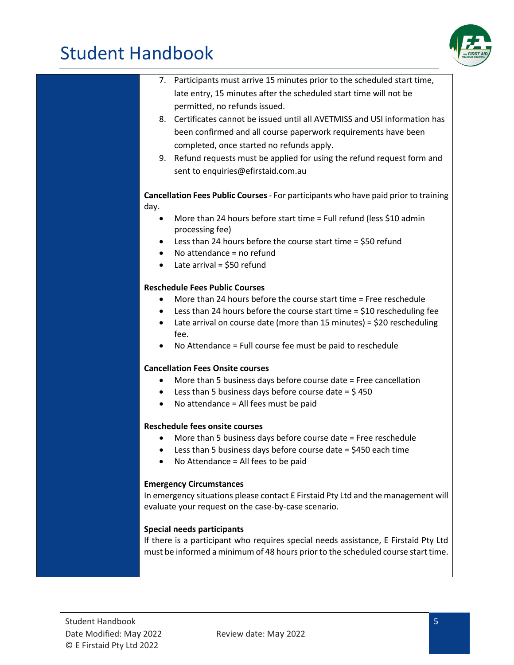

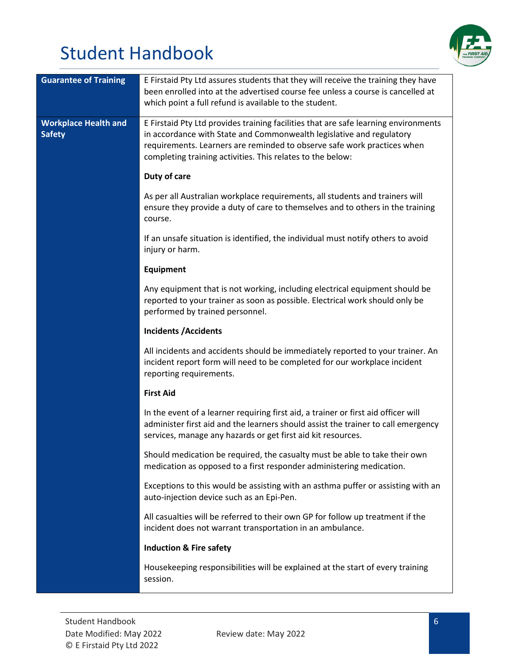

| <b>Guarantee of Training</b>                 | E Firstaid Pty Ltd assures students that they will receive the training they have<br>been enrolled into at the advertised course fee unless a course is cancelled at<br>which point a full refund is available to the student.                                                                       |
|----------------------------------------------|------------------------------------------------------------------------------------------------------------------------------------------------------------------------------------------------------------------------------------------------------------------------------------------------------|
| <b>Workplace Health and</b><br><b>Safety</b> | E Firstaid Pty Ltd provides training facilities that are safe learning environments<br>in accordance with State and Commonwealth legislative and regulatory<br>requirements. Learners are reminded to observe safe work practices when<br>completing training activities. This relates to the below: |
|                                              | Duty of care                                                                                                                                                                                                                                                                                         |
|                                              | As per all Australian workplace requirements, all students and trainers will<br>ensure they provide a duty of care to themselves and to others in the training<br>course.                                                                                                                            |
|                                              | If an unsafe situation is identified, the individual must notify others to avoid<br>injury or harm.                                                                                                                                                                                                  |
|                                              | Equipment                                                                                                                                                                                                                                                                                            |
|                                              | Any equipment that is not working, including electrical equipment should be<br>reported to your trainer as soon as possible. Electrical work should only be<br>performed by trained personnel.                                                                                                       |
|                                              | <b>Incidents /Accidents</b>                                                                                                                                                                                                                                                                          |
|                                              | All incidents and accidents should be immediately reported to your trainer. An<br>incident report form will need to be completed for our workplace incident<br>reporting requirements.                                                                                                               |
|                                              | <b>First Aid</b>                                                                                                                                                                                                                                                                                     |
|                                              | In the event of a learner requiring first aid, a trainer or first aid officer will<br>administer first aid and the learners should assist the trainer to call emergency<br>services, manage any hazards or get first aid kit resources.                                                              |
|                                              | Should medication be required, the casualty must be able to take their own<br>medication as opposed to a first responder administering medication.                                                                                                                                                   |
|                                              | Exceptions to this would be assisting with an asthma puffer or assisting with an<br>auto-injection device such as an Epi-Pen.                                                                                                                                                                        |
|                                              | All casualties will be referred to their own GP for follow up treatment if the<br>incident does not warrant transportation in an ambulance.                                                                                                                                                          |
|                                              | <b>Induction &amp; Fire safety</b>                                                                                                                                                                                                                                                                   |
|                                              | Housekeeping responsibilities will be explained at the start of every training<br>session.                                                                                                                                                                                                           |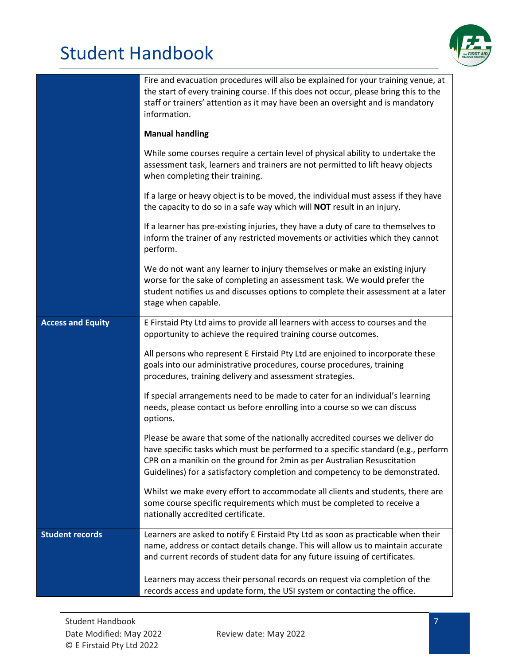

|                          | Fire and evacuation procedures will also be explained for your training venue, at<br>the start of every training course. If this does not occur, please bring this to the<br>staff or trainers' attention as it may have been an oversight and is mandatory<br>information.                                                  |
|--------------------------|------------------------------------------------------------------------------------------------------------------------------------------------------------------------------------------------------------------------------------------------------------------------------------------------------------------------------|
|                          | <b>Manual handling</b>                                                                                                                                                                                                                                                                                                       |
|                          | While some courses require a certain level of physical ability to undertake the<br>assessment task, learners and trainers are not permitted to lift heavy objects<br>when completing their training.                                                                                                                         |
|                          | If a large or heavy object is to be moved, the individual must assess if they have<br>the capacity to do so in a safe way which will <b>NOT</b> result in an injury.                                                                                                                                                         |
|                          | If a learner has pre-existing injuries, they have a duty of care to themselves to<br>inform the trainer of any restricted movements or activities which they cannot<br>perform.                                                                                                                                              |
|                          | We do not want any learner to injury themselves or make an existing injury<br>worse for the sake of completing an assessment task. We would prefer the<br>student notifies us and discusses options to complete their assessment at a later<br>stage when capable.                                                           |
| <b>Access and Equity</b> | E Firstaid Pty Ltd aims to provide all learners with access to courses and the<br>opportunity to achieve the required training course outcomes.                                                                                                                                                                              |
|                          | All persons who represent E Firstaid Pty Ltd are enjoined to incorporate these<br>goals into our administrative procedures, course procedures, training<br>procedures, training delivery and assessment strategies.                                                                                                          |
|                          | If special arrangements need to be made to cater for an individual's learning<br>needs, please contact us before enrolling into a course so we can discuss<br>options.                                                                                                                                                       |
|                          | Please be aware that some of the nationally accredited courses we deliver do<br>have specific tasks which must be performed to a specific standard (e.g., perform<br>CPR on a manikin on the ground for 2min as per Australian Resuscitation<br>Guidelines) for a satisfactory completion and competency to be demonstrated. |
|                          | Whilst we make every effort to accommodate all clients and students, there are<br>some course specific requirements which must be completed to receive a<br>nationally accredited certificate.                                                                                                                               |
| <b>Student records</b>   | Learners are asked to notify E Firstaid Pty Ltd as soon as practicable when their<br>name, address or contact details change. This will allow us to maintain accurate<br>and current records of student data for any future issuing of certificates.                                                                         |
|                          | Learners may access their personal records on request via completion of the<br>records access and update form, the USI system or contacting the office.                                                                                                                                                                      |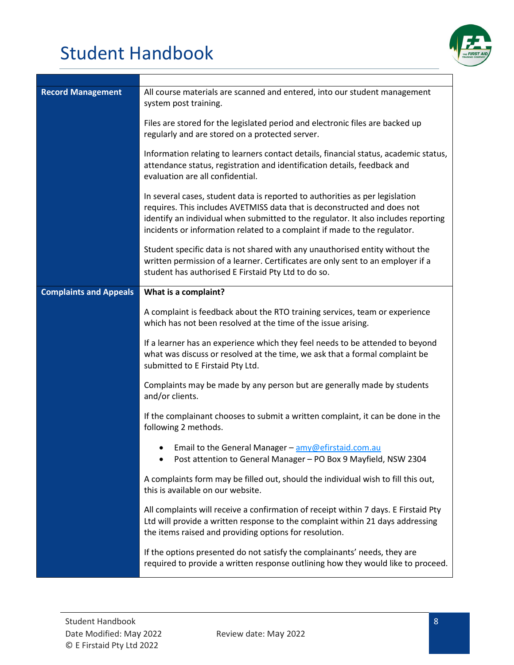

| <b>Record Management</b>      | All course materials are scanned and entered, into our student management<br>system post training.                                                                                                                                                                                                                          |
|-------------------------------|-----------------------------------------------------------------------------------------------------------------------------------------------------------------------------------------------------------------------------------------------------------------------------------------------------------------------------|
|                               | Files are stored for the legislated period and electronic files are backed up<br>regularly and are stored on a protected server.                                                                                                                                                                                            |
|                               | Information relating to learners contact details, financial status, academic status,<br>attendance status, registration and identification details, feedback and<br>evaluation are all confidential.                                                                                                                        |
|                               | In several cases, student data is reported to authorities as per legislation<br>requires. This includes AVETMISS data that is deconstructed and does not<br>identify an individual when submitted to the regulator. It also includes reporting<br>incidents or information related to a complaint if made to the regulator. |
|                               | Student specific data is not shared with any unauthorised entity without the<br>written permission of a learner. Certificates are only sent to an employer if a<br>student has authorised E Firstaid Pty Ltd to do so.                                                                                                      |
| <b>Complaints and Appeals</b> | What is a complaint?                                                                                                                                                                                                                                                                                                        |
|                               | A complaint is feedback about the RTO training services, team or experience<br>which has not been resolved at the time of the issue arising.                                                                                                                                                                                |
|                               | If a learner has an experience which they feel needs to be attended to beyond<br>what was discuss or resolved at the time, we ask that a formal complaint be<br>submitted to E Firstaid Pty Ltd.                                                                                                                            |
|                               | Complaints may be made by any person but are generally made by students<br>and/or clients.                                                                                                                                                                                                                                  |
|                               | If the complainant chooses to submit a written complaint, it can be done in the<br>following 2 methods.                                                                                                                                                                                                                     |
|                               | Email to the General Manager - amy@efirstaid.com.au<br>Post attention to General Manager - PO Box 9 Mayfield, NSW 2304                                                                                                                                                                                                      |
|                               | A complaints form may be filled out, should the individual wish to fill this out,<br>this is available on our website.                                                                                                                                                                                                      |
|                               | All complaints will receive a confirmation of receipt within 7 days. E Firstaid Pty<br>Ltd will provide a written response to the complaint within 21 days addressing<br>the items raised and providing options for resolution.                                                                                             |
|                               | If the options presented do not satisfy the complainants' needs, they are<br>required to provide a written response outlining how they would like to proceed.                                                                                                                                                               |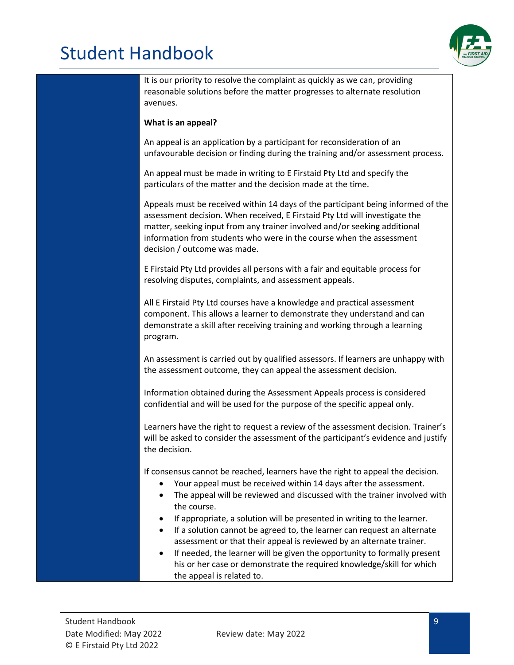

It is our priority to resolve the complaint as quickly as we can, providing reasonable solutions before the matter progresses to alternate resolution avenues.

#### **What is an appeal?**

An appeal is an application by a participant for reconsideration of an unfavourable decision or finding during the training and/or assessment process.

An appeal must be made in writing to E Firstaid Pty Ltd and specify the particulars of the matter and the decision made at the time.

Appeals must be received within 14 days of the participant being informed of the assessment decision. When received, E Firstaid Pty Ltd will investigate the matter, seeking input from any trainer involved and/or seeking additional information from students who were in the course when the assessment decision / outcome was made.

E Firstaid Pty Ltd provides all persons with a fair and equitable process for resolving disputes, complaints, and assessment appeals.

All E Firstaid Pty Ltd courses have a knowledge and practical assessment component. This allows a learner to demonstrate they understand and can demonstrate a skill after receiving training and working through a learning program.

An assessment is carried out by qualified assessors. If learners are unhappy with the assessment outcome, they can appeal the assessment decision.

Information obtained during the Assessment Appeals process is considered confidential and will be used for the purpose of the specific appeal only.

Learners have the right to request a review of the assessment decision. Trainer's will be asked to consider the assessment of the participant's evidence and justify the decision.

If consensus cannot be reached, learners have the right to appeal the decision.

- Your appeal must be received within 14 days after the assessment.
- The appeal will be reviewed and discussed with the trainer involved with the course.
- If appropriate, a solution will be presented in writing to the learner.
- If a solution cannot be agreed to, the learner can request an alternate assessment or that their appeal is reviewed by an alternate trainer.
- If needed, the learner will be given the opportunity to formally present his or her case or demonstrate the required knowledge/skill for which the appeal is related to.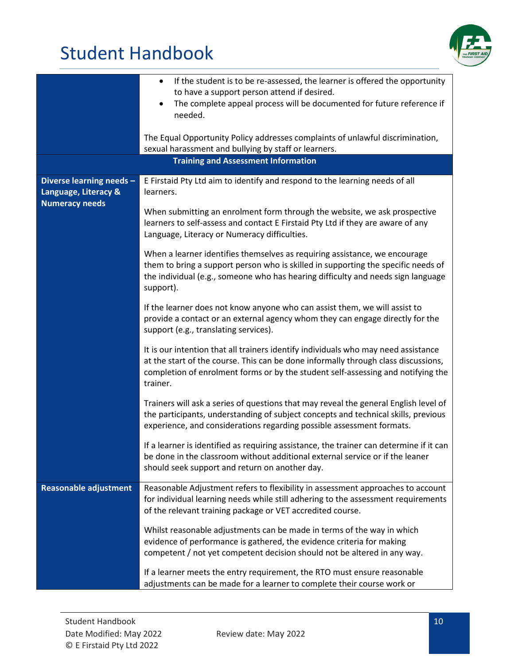

|                                                                           | If the student is to be re-assessed, the learner is offered the opportunity<br>٠<br>to have a support person attend if desired.<br>The complete appeal process will be documented for future reference if<br>$\bullet$<br>needed.<br>The Equal Opportunity Policy addresses complaints of unlawful discrimination, |
|---------------------------------------------------------------------------|--------------------------------------------------------------------------------------------------------------------------------------------------------------------------------------------------------------------------------------------------------------------------------------------------------------------|
|                                                                           | sexual harassment and bullying by staff or learners.                                                                                                                                                                                                                                                               |
|                                                                           | <b>Training and Assessment Information</b>                                                                                                                                                                                                                                                                         |
| Diverse learning needs -<br>Language, Literacy &<br><b>Numeracy needs</b> | E Firstaid Pty Ltd aim to identify and respond to the learning needs of all<br>learners.<br>When submitting an enrolment form through the website, we ask prospective<br>learners to self-assess and contact E Firstaid Pty Ltd if they are aware of any                                                           |
|                                                                           | Language, Literacy or Numeracy difficulties.                                                                                                                                                                                                                                                                       |
|                                                                           | When a learner identifies themselves as requiring assistance, we encourage<br>them to bring a support person who is skilled in supporting the specific needs of<br>the individual (e.g., someone who has hearing difficulty and needs sign language<br>support).                                                   |
|                                                                           | If the learner does not know anyone who can assist them, we will assist to<br>provide a contact or an external agency whom they can engage directly for the<br>support (e.g., translating services).                                                                                                               |
|                                                                           | It is our intention that all trainers identify individuals who may need assistance<br>at the start of the course. This can be done informally through class discussions,<br>completion of enrolment forms or by the student self-assessing and notifying the<br>trainer.                                           |
|                                                                           | Trainers will ask a series of questions that may reveal the general English level of<br>the participants, understanding of subject concepts and technical skills, previous<br>experience, and considerations regarding possible assessment formats.                                                                |
|                                                                           | If a learner is identified as requiring assistance, the trainer can determine if it can<br>be done in the classroom without additional external service or if the leaner<br>should seek support and return on another day.                                                                                         |
| <b>Reasonable adjustment</b>                                              | Reasonable Adjustment refers to flexibility in assessment approaches to account<br>for individual learning needs while still adhering to the assessment requirements<br>of the relevant training package or VET accredited course.                                                                                 |
|                                                                           | Whilst reasonable adjustments can be made in terms of the way in which<br>evidence of performance is gathered, the evidence criteria for making<br>competent / not yet competent decision should not be altered in any way.                                                                                        |
|                                                                           | If a learner meets the entry requirement, the RTO must ensure reasonable<br>adjustments can be made for a learner to complete their course work or                                                                                                                                                                 |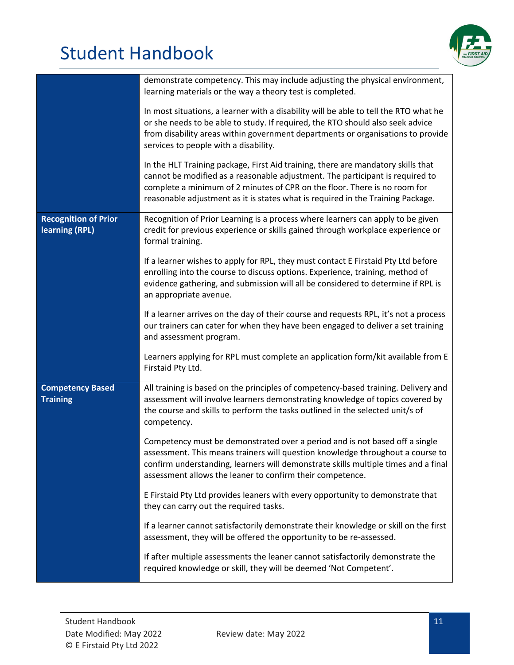

|                                               | demonstrate competency. This may include adjusting the physical environment,<br>learning materials or the way a theory test is completed.                                                                                                                                                                                         |
|-----------------------------------------------|-----------------------------------------------------------------------------------------------------------------------------------------------------------------------------------------------------------------------------------------------------------------------------------------------------------------------------------|
|                                               | In most situations, a learner with a disability will be able to tell the RTO what he<br>or she needs to be able to study. If required, the RTO should also seek advice<br>from disability areas within government departments or organisations to provide<br>services to people with a disability.                                |
|                                               | In the HLT Training package, First Aid training, there are mandatory skills that<br>cannot be modified as a reasonable adjustment. The participant is required to<br>complete a minimum of 2 minutes of CPR on the floor. There is no room for<br>reasonable adjustment as it is states what is required in the Training Package. |
| <b>Recognition of Prior</b><br>learning (RPL) | Recognition of Prior Learning is a process where learners can apply to be given<br>credit for previous experience or skills gained through workplace experience or<br>formal training.                                                                                                                                            |
|                                               | If a learner wishes to apply for RPL, they must contact E Firstaid Pty Ltd before<br>enrolling into the course to discuss options. Experience, training, method of<br>evidence gathering, and submission will all be considered to determine if RPL is<br>an appropriate avenue.                                                  |
|                                               | If a learner arrives on the day of their course and requests RPL, it's not a process<br>our trainers can cater for when they have been engaged to deliver a set training<br>and assessment program.                                                                                                                               |
|                                               | Learners applying for RPL must complete an application form/kit available from E<br>Firstaid Pty Ltd.                                                                                                                                                                                                                             |
| <b>Competency Based</b><br><b>Training</b>    | All training is based on the principles of competency-based training. Delivery and<br>assessment will involve learners demonstrating knowledge of topics covered by<br>the course and skills to perform the tasks outlined in the selected unit/s of<br>competency.                                                               |
|                                               | Competency must be demonstrated over a period and is not based off a single<br>assessment. This means trainers will question knowledge throughout a course to<br>confirm understanding, learners will demonstrate skills multiple times and a final<br>assessment allows the leaner to confirm their competence.                  |
|                                               | E Firstaid Pty Ltd provides leaners with every opportunity to demonstrate that<br>they can carry out the required tasks.                                                                                                                                                                                                          |
|                                               | If a learner cannot satisfactorily demonstrate their knowledge or skill on the first<br>assessment, they will be offered the opportunity to be re-assessed.                                                                                                                                                                       |
|                                               | If after multiple assessments the leaner cannot satisfactorily demonstrate the<br>required knowledge or skill, they will be deemed 'Not Competent'.                                                                                                                                                                               |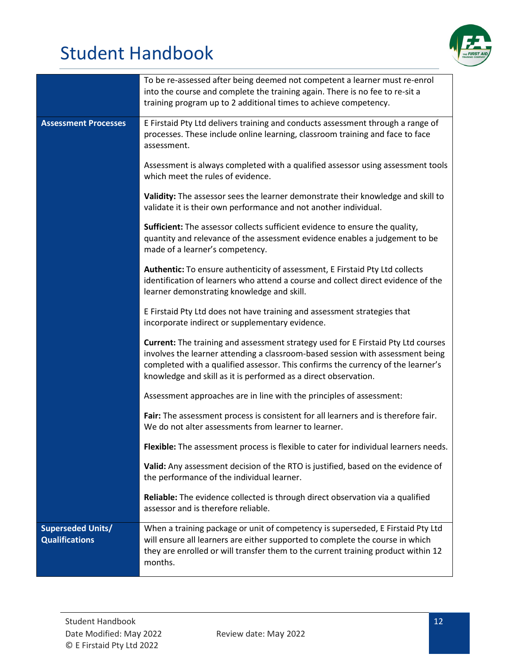

|                                                   | To be re-assessed after being deemed not competent a learner must re-enrol<br>into the course and complete the training again. There is no fee to re-sit a<br>training program up to 2 additional times to achieve competency.                                                                                             |
|---------------------------------------------------|----------------------------------------------------------------------------------------------------------------------------------------------------------------------------------------------------------------------------------------------------------------------------------------------------------------------------|
| <b>Assessment Processes</b>                       | E Firstaid Pty Ltd delivers training and conducts assessment through a range of<br>processes. These include online learning, classroom training and face to face<br>assessment.                                                                                                                                            |
|                                                   | Assessment is always completed with a qualified assessor using assessment tools<br>which meet the rules of evidence.                                                                                                                                                                                                       |
|                                                   | Validity: The assessor sees the learner demonstrate their knowledge and skill to<br>validate it is their own performance and not another individual.                                                                                                                                                                       |
|                                                   | Sufficient: The assessor collects sufficient evidence to ensure the quality,<br>quantity and relevance of the assessment evidence enables a judgement to be<br>made of a learner's competency.                                                                                                                             |
|                                                   | Authentic: To ensure authenticity of assessment, E Firstaid Pty Ltd collects<br>identification of learners who attend a course and collect direct evidence of the<br>learner demonstrating knowledge and skill.                                                                                                            |
|                                                   | E Firstaid Pty Ltd does not have training and assessment strategies that<br>incorporate indirect or supplementary evidence.                                                                                                                                                                                                |
|                                                   | Current: The training and assessment strategy used for E Firstaid Pty Ltd courses<br>involves the learner attending a classroom-based session with assessment being<br>completed with a qualified assessor. This confirms the currency of the learner's<br>knowledge and skill as it is performed as a direct observation. |
|                                                   | Assessment approaches are in line with the principles of assessment:                                                                                                                                                                                                                                                       |
|                                                   | Fair: The assessment process is consistent for all learners and is therefore fair.<br>We do not alter assessments from learner to learner.                                                                                                                                                                                 |
|                                                   | Flexible: The assessment process is flexible to cater for individual learners needs.                                                                                                                                                                                                                                       |
|                                                   | Valid: Any assessment decision of the RTO is justified, based on the evidence of<br>the performance of the individual learner.                                                                                                                                                                                             |
|                                                   | Reliable: The evidence collected is through direct observation via a qualified<br>assessor and is therefore reliable.                                                                                                                                                                                                      |
| <b>Superseded Units/</b><br><b>Qualifications</b> | When a training package or unit of competency is superseded, E Firstaid Pty Ltd<br>will ensure all learners are either supported to complete the course in which<br>they are enrolled or will transfer them to the current training product within 12<br>months.                                                           |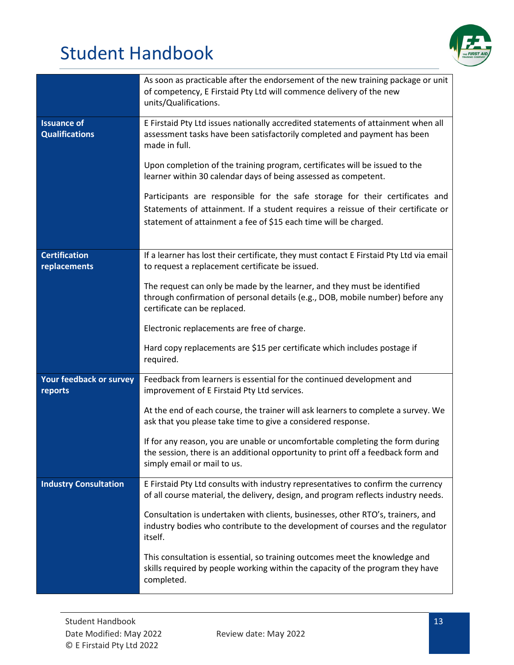

|                                             | As soon as practicable after the endorsement of the new training package or unit<br>of competency, E Firstaid Pty Ltd will commence delivery of the new<br>units/Qualifications.                 |
|---------------------------------------------|--------------------------------------------------------------------------------------------------------------------------------------------------------------------------------------------------|
| <b>Issuance of</b><br><b>Qualifications</b> | E Firstaid Pty Ltd issues nationally accredited statements of attainment when all<br>assessment tasks have been satisfactorily completed and payment has been<br>made in full.                   |
|                                             | Upon completion of the training program, certificates will be issued to the<br>learner within 30 calendar days of being assessed as competent.                                                   |
|                                             | Participants are responsible for the safe storage for their certificates and                                                                                                                     |
|                                             | Statements of attainment. If a student requires a reissue of their certificate or<br>statement of attainment a fee of \$15 each time will be charged.                                            |
|                                             |                                                                                                                                                                                                  |
| <b>Certification</b><br>replacements        | If a learner has lost their certificate, they must contact E Firstaid Pty Ltd via email<br>to request a replacement certificate be issued.                                                       |
|                                             | The request can only be made by the learner, and they must be identified<br>through confirmation of personal details (e.g., DOB, mobile number) before any<br>certificate can be replaced.       |
|                                             | Electronic replacements are free of charge.                                                                                                                                                      |
|                                             | Hard copy replacements are \$15 per certificate which includes postage if<br>required.                                                                                                           |
| Your feedback or survey<br>reports          | Feedback from learners is essential for the continued development and<br>improvement of E Firstaid Pty Ltd services.                                                                             |
|                                             | At the end of each course, the trainer will ask learners to complete a survey. We<br>ask that you please take time to give a considered response.                                                |
|                                             | If for any reason, you are unable or uncomfortable completing the form during<br>the session, there is an additional opportunity to print off a feedback form and<br>simply email or mail to us. |
| <b>Industry Consultation</b>                | E Firstaid Pty Ltd consults with industry representatives to confirm the currency<br>of all course material, the delivery, design, and program reflects industry needs.                          |
|                                             | Consultation is undertaken with clients, businesses, other RTO's, trainers, and<br>industry bodies who contribute to the development of courses and the regulator<br>itself.                     |
|                                             | This consultation is essential, so training outcomes meet the knowledge and<br>skills required by people working within the capacity of the program they have<br>completed.                      |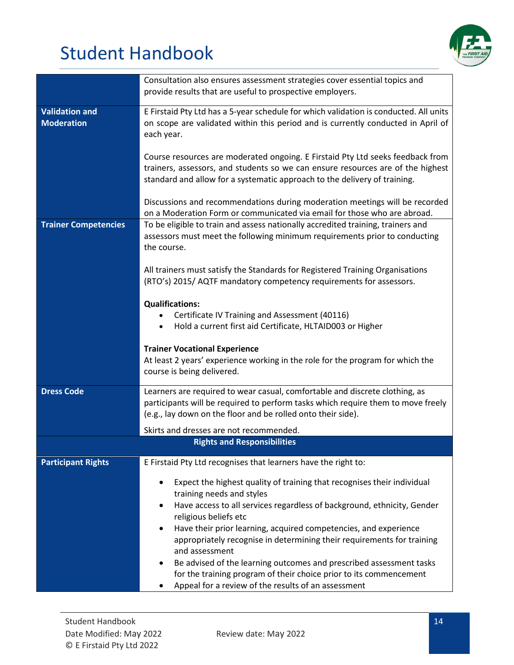

|                                            | Consultation also ensures assessment strategies cover essential topics and<br>provide results that are useful to prospective employers.                                                                                                        |
|--------------------------------------------|------------------------------------------------------------------------------------------------------------------------------------------------------------------------------------------------------------------------------------------------|
| <b>Validation and</b><br><b>Moderation</b> | E Firstaid Pty Ltd has a 5-year schedule for which validation is conducted. All units<br>on scope are validated within this period and is currently conducted in April of<br>each year.                                                        |
|                                            | Course resources are moderated ongoing. E Firstaid Pty Ltd seeks feedback from<br>trainers, assessors, and students so we can ensure resources are of the highest<br>standard and allow for a systematic approach to the delivery of training. |
|                                            | Discussions and recommendations during moderation meetings will be recorded<br>on a Moderation Form or communicated via email for those who are abroad.                                                                                        |
| <b>Trainer Competencies</b>                | To be eligible to train and assess nationally accredited training, trainers and<br>assessors must meet the following minimum requirements prior to conducting<br>the course.                                                                   |
|                                            | All trainers must satisfy the Standards for Registered Training Organisations<br>(RTO's) 2015/ AQTF mandatory competency requirements for assessors.                                                                                           |
|                                            | <b>Qualifications:</b>                                                                                                                                                                                                                         |
|                                            | Certificate IV Training and Assessment (40116)                                                                                                                                                                                                 |
|                                            | Hold a current first aid Certificate, HLTAID003 or Higher<br>$\bullet$                                                                                                                                                                         |
|                                            |                                                                                                                                                                                                                                                |
|                                            | <b>Trainer Vocational Experience</b>                                                                                                                                                                                                           |
|                                            | At least 2 years' experience working in the role for the program for which the<br>course is being delivered.                                                                                                                                   |
| <b>Dress Code</b>                          | Learners are required to wear casual, comfortable and discrete clothing, as                                                                                                                                                                    |
|                                            | participants will be required to perform tasks which require them to move freely<br>(e.g., lay down on the floor and be rolled onto their side).                                                                                               |
|                                            | Skirts and dresses are not recommended.                                                                                                                                                                                                        |
|                                            | <b>Rights and Responsibilities</b>                                                                                                                                                                                                             |
| <b>Participant Rights</b>                  | E Firstaid Pty Ltd recognises that learners have the right to:                                                                                                                                                                                 |
|                                            | Expect the highest quality of training that recognises their individual<br>training needs and styles<br>Have access to all services regardless of background, ethnicity, Gender<br>religious beliefs etc                                       |
|                                            | Have their prior learning, acquired competencies, and experience<br>٠<br>appropriately recognise in determining their requirements for training<br>and assessment                                                                              |
|                                            | Be advised of the learning outcomes and prescribed assessment tasks<br>for the training program of their choice prior to its commencement<br>Appeal for a review of the results of an assessment                                               |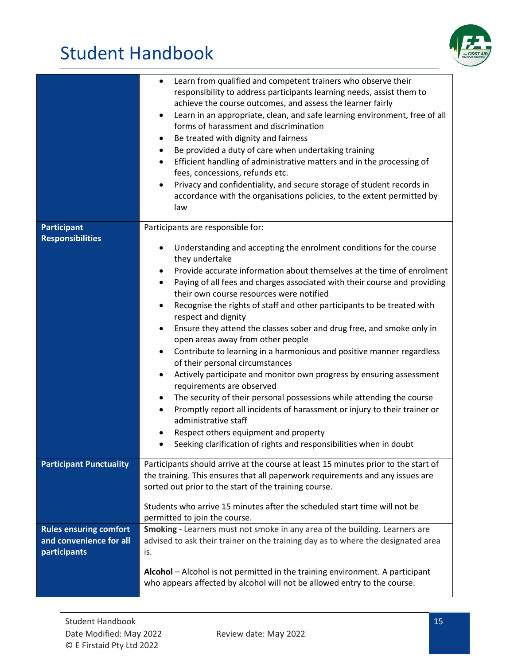

|                                                                          | Learn from qualified and competent trainers who observe their<br>٠<br>responsibility to address participants learning needs, assist them to<br>achieve the course outcomes, and assess the learner fairly<br>Learn in an appropriate, clean, and safe learning environment, free of all<br>$\bullet$<br>forms of harassment and discrimination<br>Be treated with dignity and fairness<br>٠<br>Be provided a duty of care when undertaking training<br>٠<br>Efficient handling of administrative matters and in the processing of<br>$\bullet$<br>fees, concessions, refunds etc.<br>Privacy and confidentiality, and secure storage of student records in<br>$\bullet$<br>accordance with the organisations policies, to the extent permitted by<br>law                                                                                                                                                                                                                                                                                                                                                                                                 |
|--------------------------------------------------------------------------|----------------------------------------------------------------------------------------------------------------------------------------------------------------------------------------------------------------------------------------------------------------------------------------------------------------------------------------------------------------------------------------------------------------------------------------------------------------------------------------------------------------------------------------------------------------------------------------------------------------------------------------------------------------------------------------------------------------------------------------------------------------------------------------------------------------------------------------------------------------------------------------------------------------------------------------------------------------------------------------------------------------------------------------------------------------------------------------------------------------------------------------------------------|
| <b>Participant</b><br><b>Responsibilities</b>                            | Participants are responsible for:<br>Understanding and accepting the enrolment conditions for the course<br>$\bullet$<br>they undertake<br>Provide accurate information about themselves at the time of enrolment<br>$\bullet$<br>Paying of all fees and charges associated with their course and providing<br>٠<br>their own course resources were notified<br>Recognise the rights of staff and other participants to be treated with<br>$\bullet$<br>respect and dignity<br>Ensure they attend the classes sober and drug free, and smoke only in<br>$\bullet$<br>open areas away from other people<br>Contribute to learning in a harmonious and positive manner regardless<br>٠<br>of their personal circumstances<br>Actively participate and monitor own progress by ensuring assessment<br>٠<br>requirements are observed<br>The security of their personal possessions while attending the course<br>$\bullet$<br>Promptly report all incidents of harassment or injury to their trainer or<br>$\bullet$<br>administrative staff<br>Respect others equipment and property<br>Seeking clarification of rights and responsibilities when in doubt |
| <b>Participant Punctuality</b>                                           | Participants should arrive at the course at least 15 minutes prior to the start of<br>the training. This ensures that all paperwork requirements and any issues are<br>sorted out prior to the start of the training course.<br>Students who arrive 15 minutes after the scheduled start time will not be<br>permitted to join the course.                                                                                                                                                                                                                                                                                                                                                                                                                                                                                                                                                                                                                                                                                                                                                                                                               |
| <b>Rules ensuring comfort</b><br>and convenience for all<br>participants | Smoking - Learners must not smoke in any area of the building. Learners are<br>advised to ask their trainer on the training day as to where the designated area<br>is.<br>Alcohol - Alcohol is not permitted in the training environment. A participant<br>who appears affected by alcohol will not be allowed entry to the course.                                                                                                                                                                                                                                                                                                                                                                                                                                                                                                                                                                                                                                                                                                                                                                                                                      |